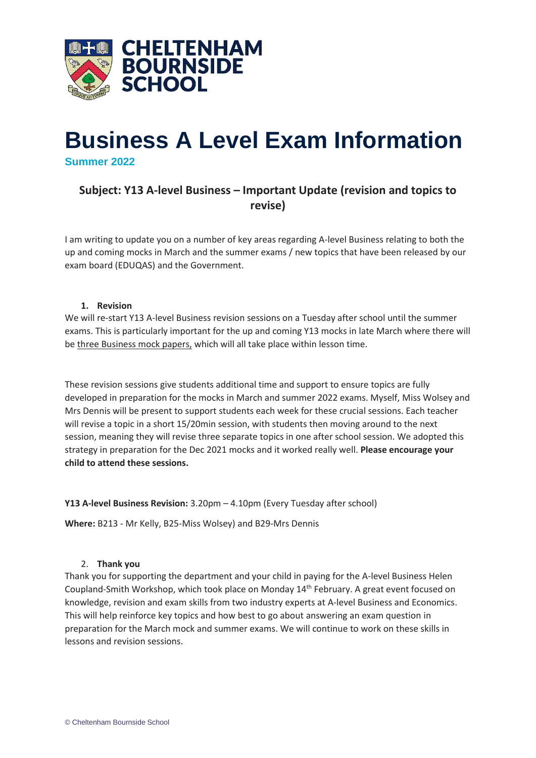

# **Business A Level Exam Information Summer 2022**

# **Subject: Y13 A-level Business – Important Update (revision and topics to revise)**

I am writing to update you on a number of key areas regarding A-level Business relating to both the up and coming mocks in March and the summer exams / new topics that have been released by our exam board (EDUQAS) and the Government.

## **1. Revision**

We will re-start Y13 A-level Business revision sessions on a Tuesday after school until the summer exams. This is particularly important for the up and coming Y13 mocks in late March where there will be three Business mock papers, which will all take place within lesson time.

These revision sessions give students additional time and support to ensure topics are fully developed in preparation for the mocks in March and summer 2022 exams. Myself, Miss Wolsey and Mrs Dennis will be present to support students each week for these crucial sessions. Each teacher will revise a topic in a short 15/20min session, with students then moving around to the next session, meaning they will revise three separate topics in one after school session. We adopted this strategy in preparation for the Dec 2021 mocks and it worked really well. **Please encourage your child to attend these sessions.**

**Y13 A-level Business Revision:** 3.20pm – 4.10pm (Every Tuesday after school)

**Where:** B213 - Mr Kelly, B25-Miss Wolsey) and B29-Mrs Dennis

## 2. **Thank you**

Thank you for supporting the department and your child in paying for the A-level Business Helen Coupland-Smith Workshop, which took place on Monday 14th February. A great event focused on knowledge, revision and exam skills from two industry experts at A-level Business and Economics. This will help reinforce key topics and how best to go about answering an exam question in preparation for the March mock and summer exams. We will continue to work on these skills in lessons and revision sessions.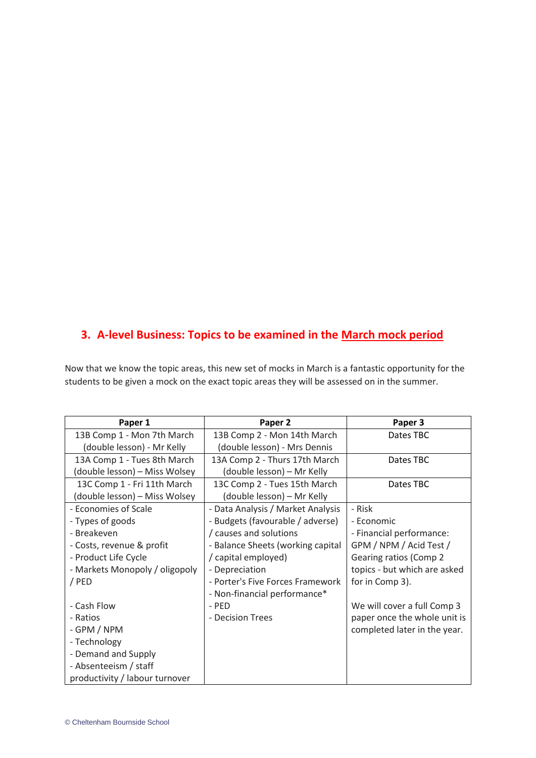# **3. A-level Business: Topics to be examined in the March mock period**

Now that we know the topic areas, this new set of mocks in March is a fantastic opportunity for the students to be given a mock on the exact topic areas they will be assessed on in the summer.

| Paper 1                        | Paper 2                           | Paper 3                      |
|--------------------------------|-----------------------------------|------------------------------|
| 13B Comp 1 - Mon 7th March     | 13B Comp 2 - Mon 14th March       | Dates TBC                    |
| (double lesson) - Mr Kelly     | (double lesson) - Mrs Dennis      |                              |
| 13A Comp 1 - Tues 8th March    | 13A Comp 2 - Thurs 17th March     | Dates TBC                    |
| (double lesson) – Miss Wolsey  | (double lesson) – Mr Kelly        |                              |
| 13C Comp 1 - Fri 11th March    | 13C Comp 2 - Tues 15th March      | Dates TBC                    |
| (double lesson) – Miss Wolsey  | (double lesson) – Mr Kelly        |                              |
| - Economies of Scale           | - Data Analysis / Market Analysis | - Risk                       |
| - Types of goods               | - Budgets (favourable / adverse)  | - Economic                   |
| - Breakeven                    | / causes and solutions            | - Financial performance:     |
| - Costs, revenue & profit      | - Balance Sheets (working capital | GPM / NPM / Acid Test /      |
| - Product Life Cycle           | / capital employed)               | Gearing ratios (Comp 2       |
| - Markets Monopoly / oligopoly | - Depreciation                    | topics - but which are asked |
| / PED                          | - Porter's Five Forces Framework  | for in Comp 3).              |
|                                | - Non-financial performance*      |                              |
| - Cash Flow                    | - PED                             | We will cover a full Comp 3  |
| - Ratios                       | - Decision Trees                  | paper once the whole unit is |
| - GPM / NPM                    |                                   | completed later in the year. |
| - Technology                   |                                   |                              |
| - Demand and Supply            |                                   |                              |
| - Absenteeism / staff          |                                   |                              |
| productivity / labour turnover |                                   |                              |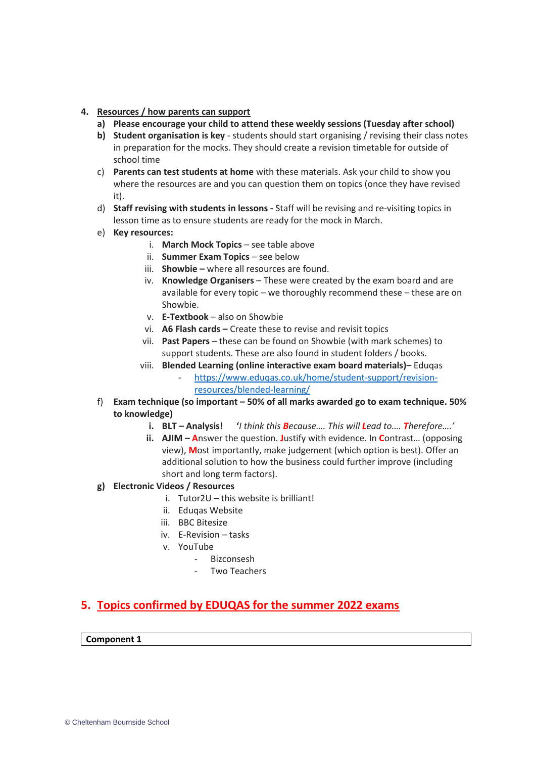- **4. Resources / how parents can support**
	- **a) Please encourage your child to attend these weekly sessions (Tuesday after school)**
	- **b) Student organisation is key**  students should start organising / revising their class notes in preparation for the mocks. They should create a revision timetable for outside of school time
	- c) **Parents can test students at home** with these materials. Ask your child to show you where the resources are and you can question them on topics (once they have revised it).
	- d) **Staff revising with students in lessons -** Staff will be revising and re-visiting topics in lesson time as to ensure students are ready for the mock in March.
	- e) **Key resources:**
		- i. **March Mock Topics** see table above
		- ii. **Summer Exam Topics** see below
		- iii. **Showbie –** where all resources are found.
		- iv. **Knowledge Organisers** These were created by the exam board and are available for every topic – we thoroughly recommend these – these are on Showbie.
		- v. **E-Textbook** also on Showbie
		- vi. **A6 Flash cards –** Create these to revise and revisit topics
		- vii. **Past Papers** these can be found on Showbie (with mark schemes) to support students. These are also found in student folders / books.
		- viii. **Blended Learning (online interactive exam board materials)** Eduqas - [https://www.eduqas.co.uk/home/student-support/revision](https://www.eduqas.co.uk/home/student-support/revision-resources/blended-learning/)[resources/blended-learning/](https://www.eduqas.co.uk/home/student-support/revision-resources/blended-learning/)
	- f) **Exam technique (so important – 50% of all marks awarded go to exam technique. 50% to knowledge)**
		- **i. BLT – Analysis! '***I think this Because…. This will Lead to…. Therefore….'*
		- **ii. AJIM – A**nswer the question. **J**ustify with evidence. In **C**ontrast… (opposing view), **M**ost importantly, make judgement (which option is best). Offer an additional solution to how the business could further improve (including short and long term factors).
	- **g) Electronic Videos / Resources**
		- i. Tutor2U this website is brilliant!
		- ii. Eduqas Website
		- iii. BBC Bitesize
		- iv. E-Revision tasks
		- v. YouTube
			- Bizconsesh
			- Two Teachers

# **5. Topics confirmed by EDUQAS for the summer 2022 exams**

## **Component 1**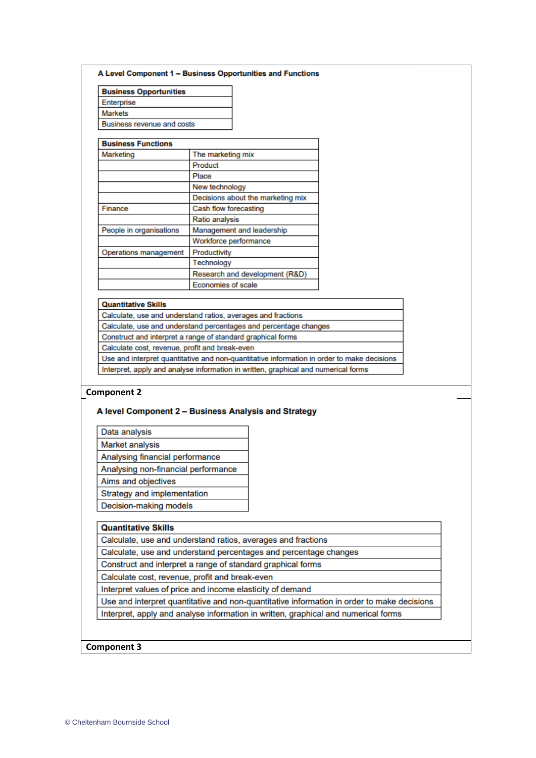#### A Level Component 1 - Business Opportunities and Functions

| <b>Business Opportunities</b>     |  |  |
|-----------------------------------|--|--|
| Enterprise                        |  |  |
| Markets                           |  |  |
| <b>Business revenue and costs</b> |  |  |

### **Business Functions**

| Duonicoo i unicuono     |                                   |  |
|-------------------------|-----------------------------------|--|
| Marketing               | The marketing mix                 |  |
|                         | Product                           |  |
|                         | Place                             |  |
|                         | New technology                    |  |
|                         | Decisions about the marketing mix |  |
| Finance                 | Cash flow forecasting             |  |
|                         | Ratio analysis                    |  |
| People in organisations | Management and leadership         |  |
|                         | Workforce performance             |  |
| Operations management   | Productivity                      |  |
|                         | Technology                        |  |
|                         | Research and development (R&D)    |  |
|                         | <b>Economies of scale</b>         |  |

#### **Quantitative Skills**

| Calculate, use and understand ratios, averages and fractions                               |  |
|--------------------------------------------------------------------------------------------|--|
| Calculate, use and understand percentages and percentage changes                           |  |
| Construct and interpret a range of standard graphical forms                                |  |
| Calculate cost, revenue, profit and break-even                                             |  |
| Use and interpret quantitative and non-quantitative information in order to make decisions |  |
| Interpret, apply and analyse information in written, graphical and numerical forms         |  |

#### **Component 2**

#### A level Component 2 - Business Analysis and Strategy

Data analysis

**Market analysis** 

Analysing financial performance

Analysing non-financial performance

Aims and objectives

Decision-making models

Strategy and implementation

**Quantitative Skills** 

Calculate, use and understand ratios, averages and fractions

Calculate, use and understand percentages and percentage changes

Construct and interpret a range of standard graphical forms

Calculate cost, revenue, profit and break-even

Interpret values of price and income elasticity of demand

Use and interpret quantitative and non-quantitative information in order to make decisions Interpret, apply and analyse information in written, graphical and numerical forms

#### **Component 3**